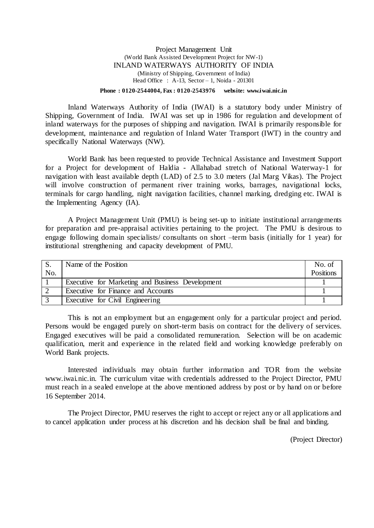#### Project Management Unit (World Bank Assisted Development Project for NW-1) INLAND WATERWAYS AUTHORITY OF INDIA (Ministry of Shipping, Government of India) Head Office : A-13, Sector – 1, Noida - 201301

#### **Phone : 0120-2544004, Fax : 0120-2543976 website: www.iwai.nic.in**

Inland Waterways Authority of India (IWAI) is a statutory body under Ministry of Shipping, Government of India. IWAI was set up in 1986 for regulation and development of inland waterways for the purposes of shipping and navigation. IWAI is primarily responsible for development, maintenance and regulation of Inland Water Transport (IWT) in the country and specifically National Waterways (NW).

World Bank has been requested to provide Technical Assistance and Investment Support for a Project for development of Haldia - Allahabad stretch of National Waterway-1 for navigation with least available depth (LAD) of 2.5 to 3.0 meters (Jal Marg Vikas). The Project will involve construction of permanent river training works, barrages, navigational locks, terminals for cargo handling, night navigation facilities, channel marking, dredging etc. IWAI is the Implementing Agency (IA).

A Project Management Unit (PMU) is being set-up to initiate institutional arrangements for preparation and pre-appraisal activities pertaining to the project. The PMU is desirous to engage following domain specialists/ consultants on short –term basis (initially for 1 year) for institutional strengthening and capacity development of PMU.

| S.<br>No. | Name of the Position                             | No. of<br><b>Positions</b> |
|-----------|--------------------------------------------------|----------------------------|
|           | Executive for Marketing and Business Development |                            |
|           | Executive for Finance and Accounts               |                            |
|           | Executive for Civil Engineering                  |                            |

This is not an employment but an engagement only for a particular project and period. Persons would be engaged purely on short-term basis on contract for the delivery of services. Engaged executives will be paid a consolidated remuneration. Selection will be on academic qualification, merit and experience in the related field and working knowledge preferably on World Bank projects.

Interested individuals may obtain further information and TOR from the website [www.iwai.nic.in.](http://www.iwai.nic.in/) The curriculum vitae with credentials addressed to the Project Director, PMU must reach in a sealed envelope at the above mentioned address by post or by hand on or before 16 September 2014.

The Project Director, PMU reserves the right to accept or reject any or all applications and to cancel application under process at his discretion and his decision shall be final and binding.

(Project Director)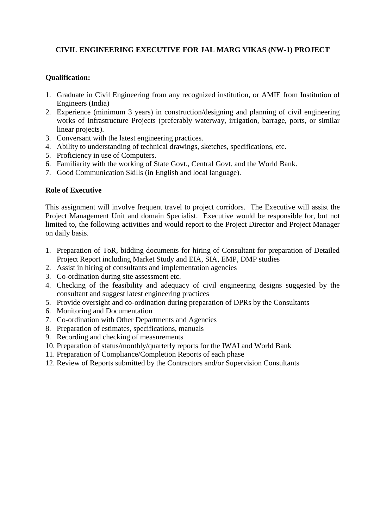# **CIVIL ENGINEERING EXECUTIVE FOR JAL MARG VIKAS (NW-1) PROJECT**

## **Qualification:**

- 1. Graduate in Civil Engineering from any recognized institution, or AMIE from Institution of Engineers (India)
- 2. Experience (minimum 3 years) in construction/designing and planning of civil engineering works of Infrastructure Projects (preferably waterway, irrigation, barrage, ports, or similar linear projects).
- 3. Conversant with the latest engineering practices.
- 4. Ability to understanding of technical drawings, sketches, specifications, etc.
- 5. Proficiency in use of Computers.
- 6. Familiarity with the working of State Govt., Central Govt. and the World Bank.
- 7. Good Communication Skills (in English and local language).

#### **Role of Executive**

This assignment will involve frequent travel to project corridors. The Executive will assist the Project Management Unit and domain Specialist. Executive would be responsible for, but not limited to, the following activities and would report to the Project Director and Project Manager on daily basis.

- 1. Preparation of ToR, bidding documents for hiring of Consultant for preparation of Detailed Project Report including Market Study and EIA, SIA, EMP, DMP studies
- 2. Assist in hiring of consultants and implementation agencies
- 3. Co-ordination during site assessment etc.
- 4. Checking of the feasibility and adequacy of civil engineering designs suggested by the consultant and suggest latest engineering practices
- 5. Provide oversight and co-ordination during preparation of DPRs by the Consultants
- 6. Monitoring and Documentation
- 7. Co-ordination with Other Departments and Agencies
- 8. Preparation of estimates, specifications, manuals
- 9. Recording and checking of measurements
- 10. Preparation of status/monthly/quarterly reports for the IWAI and World Bank
- 11. Preparation of Compliance/Completion Reports of each phase
- 12. Review of Reports submitted by the Contractors and/or Supervision Consultants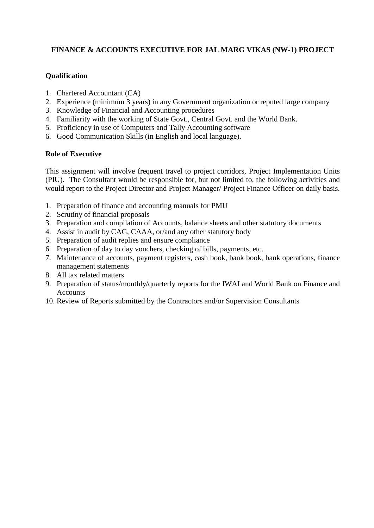# **FINANCE & ACCOUNTS EXECUTIVE FOR JAL MARG VIKAS (NW-1) PROJECT**

## **Qualification**

- 1. Chartered Accountant (CA)
- 2. Experience (minimum 3 years) in any Government organization or reputed large company
- 3. Knowledge of Financial and Accounting procedures
- 4. Familiarity with the working of State Govt., Central Govt. and the World Bank.
- 5. Proficiency in use of Computers and Tally Accounting software
- 6. Good Communication Skills (in English and local language).

#### **Role of Executive**

This assignment will involve frequent travel to project corridors, Project Implementation Units (PIU). The Consultant would be responsible for, but not limited to, the following activities and would report to the Project Director and Project Manager/ Project Finance Officer on daily basis.

- 1. Preparation of finance and accounting manuals for PMU
- 2. Scrutiny of financial proposals
- 3. Preparation and compilation of Accounts, balance sheets and other statutory documents
- 4. Assist in audit by CAG, CAAA, or/and any other statutory body
- 5. Preparation of audit replies and ensure compliance
- 6. Preparation of day to day vouchers, checking of bills, payments, etc.
- 7. Maintenance of accounts, payment registers, cash book, bank book, bank operations, finance management statements
- 8. All tax related matters
- 9. Preparation of status/monthly/quarterly reports for the IWAI and World Bank on Finance and **Accounts**
- 10. Review of Reports submitted by the Contractors and/or Supervision Consultants